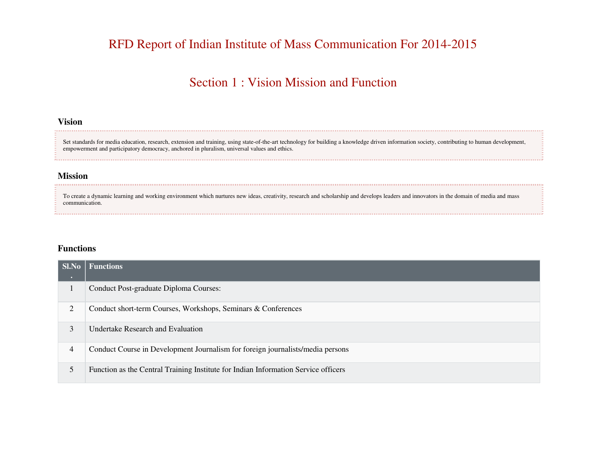# RFD Report of Indian Institute of Mass Communication For 2014-2015

### Section 1 : Vision Mission and Function

### **Vision**

Set standards for media education, research, extension and training, using state-of-the-art technology for building a knowledge driven information society, contributing to human development, empowerment and participatory democracy, anchored in pluralism, universal values and ethics.

#### **Mission**

To create a dynamic learning and working environment which nurtures new ideas, creativity, research and scholarship and develops leaders and innovators in the domain of media and mass communication.

#### **Functions**

| <b>Sl.No</b><br>$\sim$ | <b>Functions</b>                                                                   |
|------------------------|------------------------------------------------------------------------------------|
|                        | Conduct Post-graduate Diploma Courses:                                             |
| 2                      | Conduct short-term Courses, Workshops, Seminars & Conferences                      |
| 3                      | Undertake Research and Evaluation                                                  |
| 4                      | Conduct Course in Development Journalism for foreign journalists/media persons     |
| 5                      | Function as the Central Training Institute for Indian Information Service officers |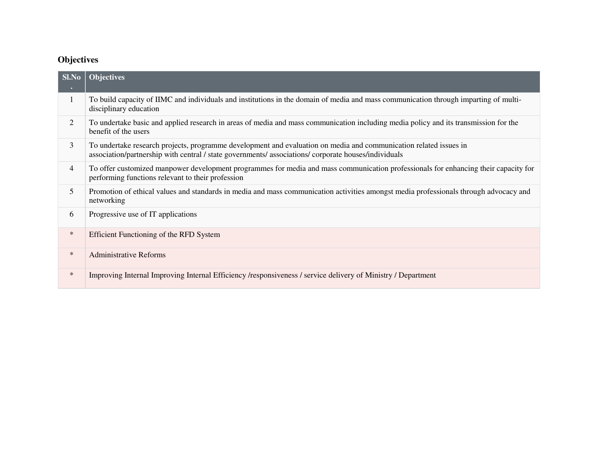### **Objectives**

| Sl.No<br>$\bullet$ | <b>Objectives</b>                                                                                                                                                                                                         |
|--------------------|---------------------------------------------------------------------------------------------------------------------------------------------------------------------------------------------------------------------------|
| 1                  | To build capacity of IIMC and individuals and institutions in the domain of media and mass communication through imparting of multi-<br>disciplinary education                                                            |
| 2                  | To undertake basic and applied research in areas of media and mass communication including media policy and its transmission for the<br>benefit of the users                                                              |
| 3                  | To undertake research projects, programme development and evaluation on media and communication related issues in<br>association/partnership with central / state governments/ associations/ corporate houses/individuals |
| 4                  | To offer customized manpower development programmes for media and mass communication professionals for enhancing their capacity for<br>performing functions relevant to their profession                                  |
| 5                  | Promotion of ethical values and standards in media and mass communication activities amongst media professionals through advocacy and<br>networking                                                                       |
| 6                  | Progressive use of IT applications                                                                                                                                                                                        |
| $\ast$             | Efficient Functioning of the RFD System                                                                                                                                                                                   |
| $\ast$             | <b>Administrative Reforms</b>                                                                                                                                                                                             |
| $\ast$             | Improving Internal Improving Internal Efficiency /responsiveness / service delivery of Ministry / Department                                                                                                              |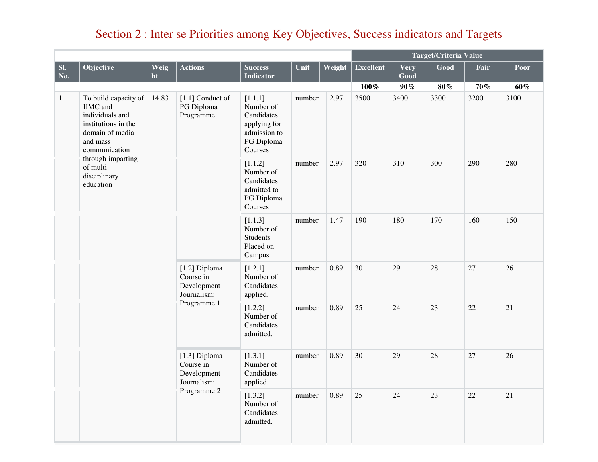# Section 2 : Inter se Priorities among Key Objectives, Success indicators and Targets

|              |                                                                                                                                                                                                  |            |                                                                         |                                                                                             | Target/Criteria Value |        |                  |              |        |        |      |
|--------------|--------------------------------------------------------------------------------------------------------------------------------------------------------------------------------------------------|------------|-------------------------------------------------------------------------|---------------------------------------------------------------------------------------------|-----------------------|--------|------------------|--------------|--------|--------|------|
| SI.<br>No.   | Objective                                                                                                                                                                                        | Weig<br>ht | <b>Actions</b>                                                          | <b>Success</b><br><b>Indicator</b>                                                          | Unit                  | Weight | <b>Excellent</b> | Very<br>Good | Good   | Fair   | Poor |
|              |                                                                                                                                                                                                  |            |                                                                         |                                                                                             |                       |        | $100\%$          | $90\%$       | $80\%$ | $70\%$ | 60%  |
| $\mathbf{1}$ | To build capacity of<br><b>IIMC</b> and<br>individuals and<br>institutions in the<br>domain of media<br>and mass<br>communication<br>through imparting<br>of multi-<br>disciplinary<br>education | 14.83      | $[1.1]$ Conduct of<br>PG Diploma<br>Programme                           | [1.1.1]<br>Number of<br>Candidates<br>applying for<br>admission to<br>PG Diploma<br>Courses | number                | 2.97   | 3500             | 3400         | 3300   | 3200   | 3100 |
|              |                                                                                                                                                                                                  |            |                                                                         | [1.1.2]<br>Number of<br>Candidates<br>admitted to<br>PG Diploma<br>Courses                  | number                | 2.97   | 320              | 310          | 300    | 290    | 280  |
|              |                                                                                                                                                                                                  |            |                                                                         | [1.1.3]<br>Number of<br><b>Students</b><br>Placed on<br>Campus                              | number                | 1.47   | 190              | 180          | 170    | 160    | 150  |
|              |                                                                                                                                                                                                  |            | [1.2] Diploma<br>Course in<br>Development<br>Journalism:                | [1.2.1]<br>Number of<br>Candidates<br>applied.                                              | number                | 0.89   | 30               | 29           | 28     | 27     | 26   |
|              |                                                                                                                                                                                                  |            | Programme 1                                                             | [1.2.2]<br>Number of<br>Candidates<br>admitted.                                             | number                | 0.89   | 25               | 24           | 23     | 22     | 21   |
|              |                                                                                                                                                                                                  |            | [1.3] Diploma<br>Course in<br>Development<br>Journalism:<br>Programme 2 | [1.3.1]<br>Number of<br>Candidates<br>applied.                                              | number                | 0.89   | 30               | 29           | 28     | 27     | 26   |
|              |                                                                                                                                                                                                  |            |                                                                         | [1.3.2]<br>Number of<br>Candidates<br>admitted.                                             | number                | 0.89   | 25               | 24           | 23     | 22     | 21   |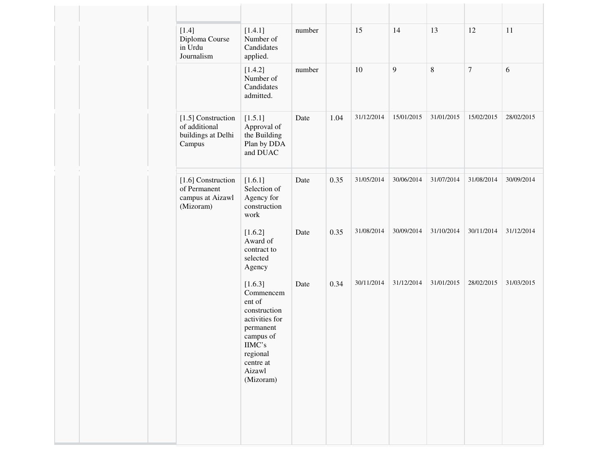| $[1.4]$<br>Diploma Course<br>in Urdu<br>Journalism                  | [1.4.1]<br>Number of<br>Candidates<br>applied.                                                                                                                                | number |      | 15         | 14         | 13         | 12               | 11         |
|---------------------------------------------------------------------|-------------------------------------------------------------------------------------------------------------------------------------------------------------------------------|--------|------|------------|------------|------------|------------------|------------|
|                                                                     | [1.4.2]<br>Number of<br>Candidates<br>admitted.                                                                                                                               | number |      | $10\,$     | 9          | $\,8\,$    | $\boldsymbol{7}$ | 6          |
| [1.5] Construction<br>of additional<br>buildings at Delhi<br>Campus | [1.5.1]<br>Approval of<br>the Building<br>Plan by DDA<br>and DUAC                                                                                                             | Date   | 1.04 | 31/12/2014 | 15/01/2015 | 31/01/2015 | 15/02/2015       | 28/02/2015 |
| [1.6] Construction<br>of Permanent<br>campus at Aizawl<br>(Mizoram) | [1.6.1]<br>Selection of<br>Agency for<br>construction<br>work                                                                                                                 | Date   | 0.35 | 31/05/2014 | 30/06/2014 | 31/07/2014 | 31/08/2014       | 30/09/2014 |
|                                                                     | [1.6.2]<br>Award of<br>contract to<br>selected<br>Agency                                                                                                                      | Date   | 0.35 | 31/08/2014 | 30/09/2014 | 31/10/2014 | 30/11/2014       | 31/12/2014 |
|                                                                     | [1.6.3]<br>Commencem<br>ent of<br>construction<br>activities for<br>permanent<br>campus of<br>$\rm IIMC^{\textstyle \cdot}$ s<br>regional<br>centre at<br>Aizawl<br>(Mizoram) | Date   | 0.34 | 30/11/2014 | 31/12/2014 | 31/01/2015 | 28/02/2015       | 31/03/2015 |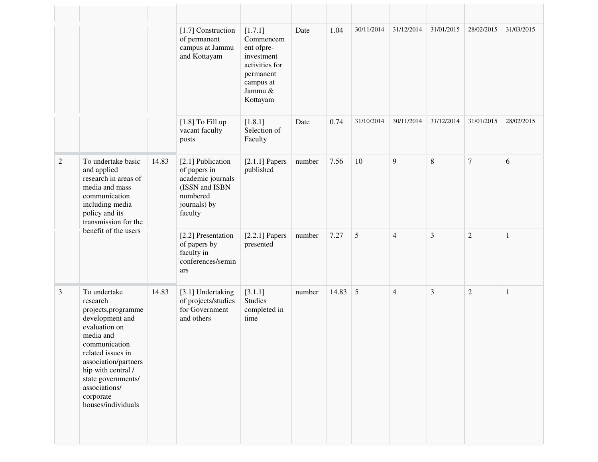|                |                                                                                                                                                                                                                                                                |                                                                                                                 | [1.7] Construction<br>of permanent<br>campus at Jammu<br>and Kottayam        | [1.7.1]<br>Commencem<br>ent ofpre-<br>investment<br>activities for<br>permanent<br>campus at<br>Jammu &<br>Kottayam | Date   | 1.04  | 30/11/2014 | 31/12/2014     | 31/01/2015     | 28/02/2015     | 31/03/2015   |
|----------------|----------------------------------------------------------------------------------------------------------------------------------------------------------------------------------------------------------------------------------------------------------------|-----------------------------------------------------------------------------------------------------------------|------------------------------------------------------------------------------|---------------------------------------------------------------------------------------------------------------------|--------|-------|------------|----------------|----------------|----------------|--------------|
|                |                                                                                                                                                                                                                                                                |                                                                                                                 | $[1.8]$ To Fill up<br>vacant faculty<br>posts                                | [1.8.1]<br>Selection of<br>Faculty                                                                                  | Date   | 0.74  | 31/10/2014 | 30/11/2014     | 31/12/2014     | 31/01/2015     | 28/02/2015   |
| $\overline{2}$ | To undertake basic<br>14.83<br>and applied<br>research in areas of<br>media and mass<br>communication<br>including media<br>policy and its<br>transmission for the                                                                                             | [2.1] Publication<br>of papers in<br>academic journals<br>(ISSN and ISBN<br>numbered<br>journals) by<br>faculty | $[2.1.1]$ Papers<br>published                                                | number                                                                                                              | 7.56   | 10    | 9          | 8              | $\tau$         | 6              |              |
|                | benefit of the users                                                                                                                                                                                                                                           |                                                                                                                 | [2.2] Presentation<br>of papers by<br>faculty in<br>conferences/semin<br>ars | $[2.2.1]$ Papers<br>presented                                                                                       | number | 7.27  | 5          | $\overline{4}$ | $\mathfrak{Z}$ | $\sqrt{2}$     | $\mathbf{1}$ |
| $\mathfrak{Z}$ | To undertake<br>research<br>projects, programme<br>development and<br>evaluation on<br>media and<br>communication<br>related issues in<br>association/partners<br>hip with central /<br>state governments/<br>associations/<br>corporate<br>houses/individuals | 14.83                                                                                                           | [3.1] Undertaking<br>of projects/studies<br>for Government<br>and others     | [3.1.1]<br><b>Studies</b><br>completed in<br>time                                                                   | number | 14.83 | 5          | $\overline{4}$ | 3              | $\overline{2}$ | $\mathbf{1}$ |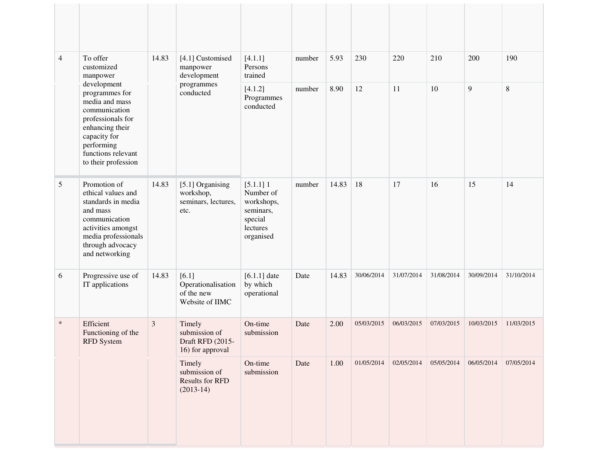| $\overline{4}$ | To offer<br>customized<br>manpower                                                                                                                                                  | 14.83 | [4.1] Customised<br>manpower<br>development                      | [4.1.1]<br>Persons<br>trained                                                           | number | 5.93  | 230        | 220        | 210        | 200        | 190        |
|----------------|-------------------------------------------------------------------------------------------------------------------------------------------------------------------------------------|-------|------------------------------------------------------------------|-----------------------------------------------------------------------------------------|--------|-------|------------|------------|------------|------------|------------|
|                | development<br>programmes for<br>media and mass<br>communication<br>professionals for<br>enhancing their<br>capacity for<br>performing<br>functions relevant<br>to their profession |       | programmes<br>conducted                                          | [4.1.2]<br>Programmes<br>conducted                                                      | number | 8.90  | 12         | 11         | 10         | 9          | $8\,$      |
| 5              | Promotion of<br>ethical values and<br>standards in media<br>and mass<br>communication<br>activities amongst<br>media professionals<br>through advocacy<br>and networking            | 14.83 | [5.1] Organising<br>workshop,<br>seminars, lectures,<br>etc.     | $[5.1.1]$ 1<br>Number of<br>workshops,<br>seminars,<br>special<br>lectures<br>organised | number | 14.83 | 18         | 17         | 16         | 15         | 14         |
| 6              | Progressive use of<br>IT applications                                                                                                                                               | 14.83 | [6.1]<br>Operationalisation<br>of the new<br>Website of IIMC     | $[6.1.1]$ date<br>by which<br>operational                                               | Date   | 14.83 | 30/06/2014 | 31/07/2014 | 31/08/2014 | 30/09/2014 | 31/10/2014 |
| $\ast$         | Efficient<br>Functioning of the<br><b>RFD</b> System                                                                                                                                | 3     | Timely<br>submission of<br>Draft RFD (2015-<br>16) for approval  | On-time<br>submission                                                                   | Date   | 2.00  | 05/03/2015 | 06/03/2015 | 07/03/2015 | 10/03/2015 | 11/03/2015 |
|                |                                                                                                                                                                                     |       | Timely<br>submission of<br><b>Results for RFD</b><br>$(2013-14)$ | On-time<br>submission                                                                   | Date   | 1.00  | 01/05/2014 | 02/05/2014 | 05/05/2014 | 06/05/2014 | 07/05/2014 |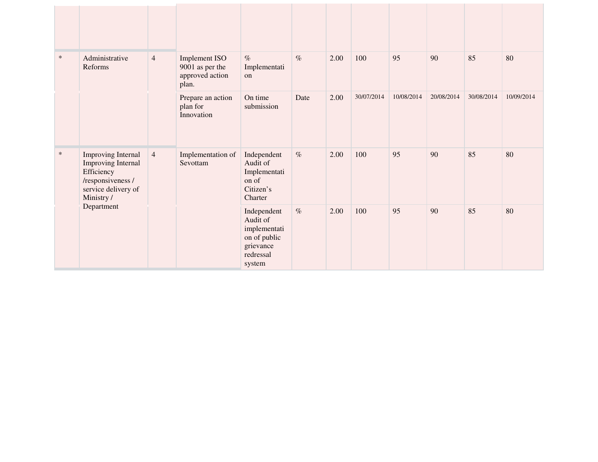| $\ast$ | Administrative<br>Reforms                                                                                                     | $\overline{4}$ | <b>Implement ISO</b><br>9001 as per the<br>approved action<br>plan. | $\%$<br>Implementati<br>on                                                                  | $\%$ | 2.00 | 100        | 95         | 90         | 85         | 80         |
|--------|-------------------------------------------------------------------------------------------------------------------------------|----------------|---------------------------------------------------------------------|---------------------------------------------------------------------------------------------|------|------|------------|------------|------------|------------|------------|
|        |                                                                                                                               |                | Prepare an action<br>plan for<br>Innovation                         | On time<br>submission                                                                       | Date | 2.00 | 30/07/2014 | 10/08/2014 | 20/08/2014 | 30/08/2014 | 10/09/2014 |
| $\ast$ | <b>Improving Internal</b><br><b>Improving Internal</b><br>Efficiency<br>/responsiveness /<br>service delivery of<br>Ministry/ | $\overline{4}$ | Implementation of<br>Sevottam                                       | Independent<br>Audit of<br>Implementati<br>on of<br>Citizen's<br>Charter                    | $\%$ | 2.00 | 100        | 95         | 90         | 85         | 80         |
|        | Department                                                                                                                    |                |                                                                     | Independent<br>Audit of<br>implementati<br>on of public<br>grievance<br>redressal<br>system | $\%$ | 2.00 | 100        | 95         | 90         | 85         | 80         |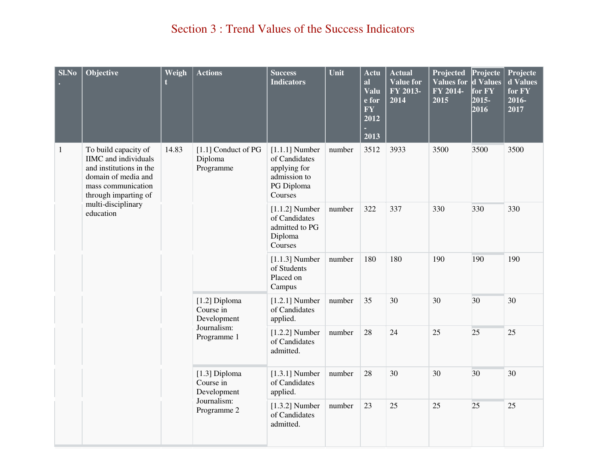# Section 3 : Trend Values of the Success Indicators

| <b>Sl.No</b> | Objective                                                                                                                                                                              | Weigh                                     | <b>Actions</b>                                                            | <b>Success</b><br><b>Indicators</b>                                                        | Unit   | Actu<br>al<br>Valu<br>e for<br><b>FY</b><br>2012<br>2013 | <b>Actual</b><br>Value for<br>FY 2013-<br>2014 | Projected<br>Values for d Values<br>FY 2014-<br>2015 | Projecte<br>for FY<br>$2015 -$<br>2016 | Projecte<br>d Values<br>for FY<br>2016-<br>2017 |
|--------------|----------------------------------------------------------------------------------------------------------------------------------------------------------------------------------------|-------------------------------------------|---------------------------------------------------------------------------|--------------------------------------------------------------------------------------------|--------|----------------------------------------------------------|------------------------------------------------|------------------------------------------------------|----------------------------------------|-------------------------------------------------|
| $\mathbf{1}$ | To build capacity of<br><b>IIMC</b> and individuals<br>and institutions in the<br>domain of media and<br>mass communication<br>through imparting of<br>multi-disciplinary<br>education | 14.83                                     | [1.1] Conduct of PG<br>Diploma<br>Programme                               | $[1.1.1]$ Number<br>of Candidates<br>applying for<br>admission to<br>PG Diploma<br>Courses | number | 3512                                                     | 3933                                           | 3500                                                 | 3500                                   | 3500                                            |
|              |                                                                                                                                                                                        | [1.2] Diploma<br>Course in<br>Development |                                                                           | $[1.1.2]$ Number<br>of Candidates<br>admitted to PG<br>Diploma<br>Courses                  | number | 322                                                      | 337                                            | 330                                                  | 330                                    | 330                                             |
|              |                                                                                                                                                                                        |                                           | $[1.1.3]$ Number<br>of Students<br>Placed on<br>Campus                    | number                                                                                     | 180    | 180                                                      | 190                                            | 190                                                  | 190                                    |                                                 |
|              |                                                                                                                                                                                        |                                           |                                                                           | $[1.2.1]$ Number<br>of Candidates<br>applied.                                              | number | 35                                                       | 30                                             | 30                                                   | 30                                     | 30                                              |
|              |                                                                                                                                                                                        |                                           | Journalism:<br>Programme 1                                                | $[1.2.2]$ Number<br>of Candidates<br>admitted.                                             | number | 28                                                       | 24                                             | 25                                                   | 25                                     | 25                                              |
|              |                                                                                                                                                                                        |                                           | $[1.3]$ Diploma<br>Course in<br>Development<br>Journalism:<br>Programme 2 | $[1.3.1]$ Number<br>of Candidates<br>applied.                                              | number | 28                                                       | 30                                             | 30                                                   | 30                                     | 30                                              |
|              |                                                                                                                                                                                        |                                           |                                                                           | $[1.3.2]$ Number<br>of Candidates<br>admitted.                                             | number | 23                                                       | 25                                             | 25                                                   | 25                                     | 25                                              |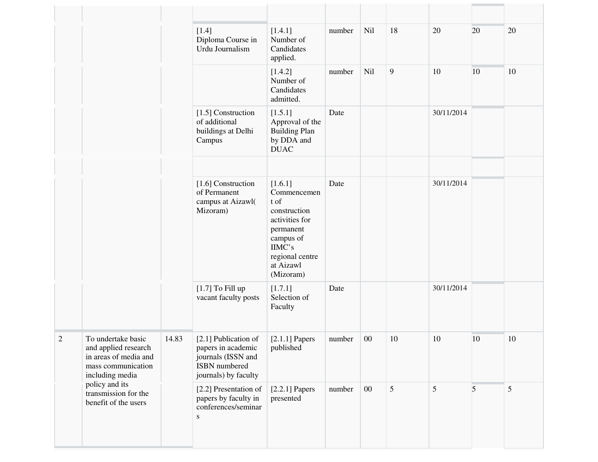|                |                                                                                                                                                                                |       | $[1.4]$<br>Diploma Course in<br>Urdu Journalism                                                           | [1.4.1]<br>Number of<br>Candidates<br>applied.                                                                                                    | number | Nil    | 18 | 20            | 20           | 20 |
|----------------|--------------------------------------------------------------------------------------------------------------------------------------------------------------------------------|-------|-----------------------------------------------------------------------------------------------------------|---------------------------------------------------------------------------------------------------------------------------------------------------|--------|--------|----|---------------|--------------|----|
|                |                                                                                                                                                                                |       |                                                                                                           | [1.4.2]<br>Number of<br>Candidates<br>admitted.                                                                                                   | number | Nil    | 9  | 10            | 10           | 10 |
|                |                                                                                                                                                                                |       | [1.5] Construction<br>of additional<br>buildings at Delhi<br>Campus                                       | [1.5.1]<br>Approval of the<br><b>Building Plan</b><br>by DDA and<br><b>DUAC</b>                                                                   | Date   |        |    | 30/11/2014    |              |    |
|                |                                                                                                                                                                                |       |                                                                                                           |                                                                                                                                                   |        |        |    |               |              |    |
|                |                                                                                                                                                                                |       | [1.6] Construction<br>of Permanent<br>campus at Aizawl(<br>Mizoram)                                       | [1.6.1]<br>Commencemen<br>t of<br>construction<br>activities for<br>permanent<br>campus of<br>IIMC's<br>regional centre<br>at Aizawl<br>(Mizoram) | Date   |        |    | 30/11/2014    |              |    |
|                |                                                                                                                                                                                |       | $[1.7]$ To Fill up<br>vacant faculty posts                                                                | [1.7.1]<br>Selection of<br>Faculty                                                                                                                | Date   |        |    | 30/11/2014    |              |    |
| $\overline{2}$ | To undertake basic<br>and applied research<br>in areas of media and<br>mass communication<br>including media<br>policy and its<br>transmission for the<br>benefit of the users | 14.83 | [2.1] Publication of<br>papers in academic<br>journals (ISSN and<br>ISBN numbered<br>journals) by faculty | $[2.1.1]$ Papers<br>published                                                                                                                     | number | $00\,$ | 10 | 10            | $ 10\rangle$ | 10 |
|                |                                                                                                                                                                                |       | [2.2] Presentation of<br>papers by faculty in<br>conferences/seminar<br>${\bf S}$                         | $[2.2.1]$ Papers<br>presented                                                                                                                     | number | $00\,$ | 5  | $\mathfrak s$ | 5            | 5  |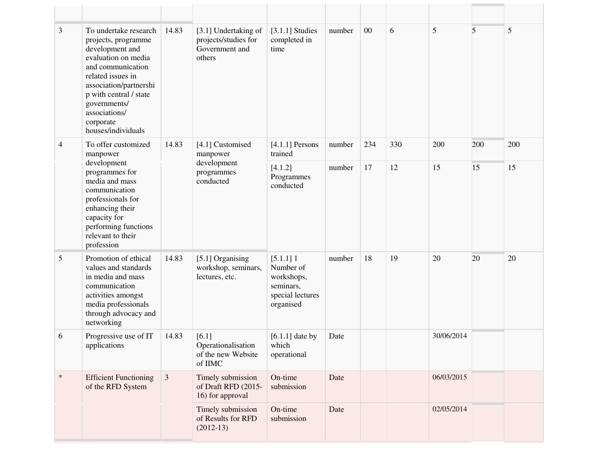| 3              | To undertake research<br>projects, programme<br>development and<br>evaluation on media<br>and communication<br>related issues in<br>association/partnershi<br>p with central / state<br>governments/<br>associations/<br>corporate<br>houses/individuals | 14.83          | [3.1] Undertaking of<br>projects/studies for<br>Government and<br>others | $[3.1.1]$ Studies<br>completed in<br>time                                            | number | 00  | 6   | 5          | 5   | 5   |
|----------------|----------------------------------------------------------------------------------------------------------------------------------------------------------------------------------------------------------------------------------------------------------|----------------|--------------------------------------------------------------------------|--------------------------------------------------------------------------------------|--------|-----|-----|------------|-----|-----|
| $\overline{4}$ | To offer customized<br>manpower                                                                                                                                                                                                                          | 14.83          | [4.1] Customised<br>manpower                                             | $[4.1.1]$ Persons<br>trained                                                         | number | 234 | 330 | 200        | 200 | 200 |
|                | development<br>programmes for<br>media and mass<br>communication<br>professionals for<br>enhancing their<br>capacity for<br>performing functions<br>relevant to their<br>profession                                                                      |                | development<br>programmes<br>conducted                                   | [4.1.2]<br>Programmes<br>conducted                                                   | number | 17  | 12  | 15         | 15  | 15  |
| 5              | Promotion of ethical<br>values and standards<br>in media and mass<br>communication<br>activities amongst<br>media professionals<br>through advocacy and<br>networking                                                                                    | 14.83          | [5.1] Organising<br>workshop, seminars,<br>lectures, etc.                | $[5.1.1]$ 1<br>Number of<br>workshops,<br>seminars,<br>special lectures<br>organised | number | 18  | 19  | 20         | 20  | 20  |
| 6              | Progressive use of IT<br>applications                                                                                                                                                                                                                    | 14.83          | $[6.1]$<br>Operationalisation<br>of the new Website<br>of IIMC           | $[6.1.1]$ date by<br>which<br>operational                                            | Date   |     |     | 30/06/2014 |     |     |
| $\ast$         | <b>Efficient Functioning</b><br>of the RFD System                                                                                                                                                                                                        | $\mathfrak{Z}$ | Timely submission<br>of Draft RFD (2015-<br>16) for approval             | On-time<br>submission                                                                | Date   |     |     | 06/03/2015 |     |     |
|                |                                                                                                                                                                                                                                                          |                | Timely submission<br>of Results for RFD<br>$(2012-13)$                   | On-time<br>submission                                                                | Date   |     |     | 02/05/2014 |     |     |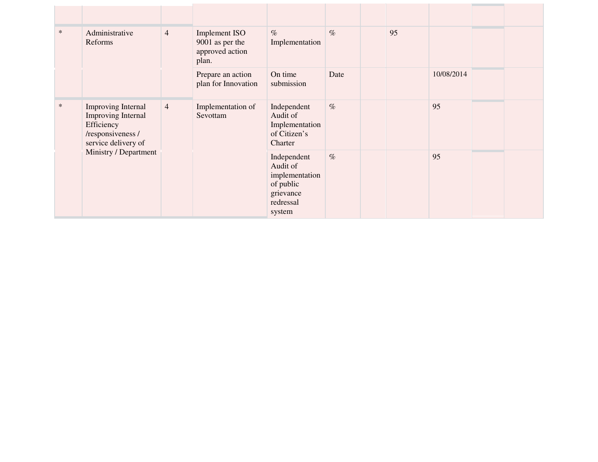| $\ast$ | Administrative<br>Reforms                                                                                                          | $\overline{4}$                                  | <b>Implement ISO</b><br>9001 as per the<br>approved action<br>plan.                        | $\%$<br>Implementation                                               | $\%$ | 95 |            |  |
|--------|------------------------------------------------------------------------------------------------------------------------------------|-------------------------------------------------|--------------------------------------------------------------------------------------------|----------------------------------------------------------------------|------|----|------------|--|
|        |                                                                                                                                    |                                                 | Prepare an action<br>plan for Innovation                                                   | On time<br>submission                                                | Date |    | 10/08/2014 |  |
| $\ast$ | Improving Internal<br><b>Improving Internal</b><br>Efficiency<br>/responsiveness /<br>service delivery of<br>Ministry / Department | $\overline{4}$<br>Implementation of<br>Sevottam |                                                                                            | Independent<br>Audit of<br>Implementation<br>of Citizen's<br>Charter | $\%$ |    | 95         |  |
|        |                                                                                                                                    |                                                 | Independent<br>Audit of<br>implementation<br>of public<br>grievance<br>redressal<br>system | $\%$                                                                 |      | 95 |            |  |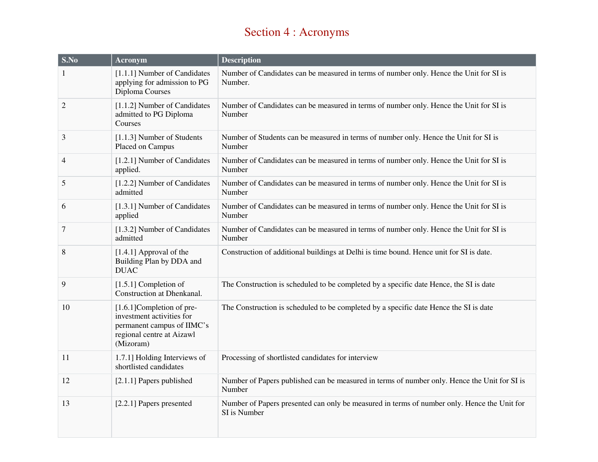# Section 4 : Acronyms

| S.No           | <b>Acronym</b>                                                                                                                  | <b>Description</b>                                                                                          |
|----------------|---------------------------------------------------------------------------------------------------------------------------------|-------------------------------------------------------------------------------------------------------------|
| 1              | [1.1.1] Number of Candidates<br>applying for admission to PG<br>Diploma Courses                                                 | Number of Candidates can be measured in terms of number only. Hence the Unit for SI is<br>Number.           |
| $\overline{2}$ | [1.1.2] Number of Candidates<br>admitted to PG Diploma<br>Courses                                                               | Number of Candidates can be measured in terms of number only. Hence the Unit for SI is<br>Number            |
| 3              | [1.1.3] Number of Students<br>Placed on Campus                                                                                  | Number of Students can be measured in terms of number only. Hence the Unit for SI is<br>Number              |
| 4              | [1.2.1] Number of Candidates<br>applied.                                                                                        | Number of Candidates can be measured in terms of number only. Hence the Unit for SI is<br>Number            |
| 5              | [1.2.2] Number of Candidates<br>admitted                                                                                        | Number of Candidates can be measured in terms of number only. Hence the Unit for SI is<br>Number            |
| 6              | [1.3.1] Number of Candidates<br>applied                                                                                         | Number of Candidates can be measured in terms of number only. Hence the Unit for SI is<br>Number            |
| $\tau$         | [1.3.2] Number of Candidates<br>admitted                                                                                        | Number of Candidates can be measured in terms of number only. Hence the Unit for SI is<br>Number            |
| 8              | $[1.4.1]$ Approval of the<br>Building Plan by DDA and<br><b>DUAC</b>                                                            | Construction of additional buildings at Delhi is time bound. Hence unit for SI is date.                     |
| 9              | $[1.5.1]$ Completion of<br>Construction at Dhenkanal.                                                                           | The Construction is scheduled to be completed by a specific date Hence, the SI is date                      |
| 10             | [1.6.1] Completion of pre-<br>investment activities for<br>permanent campus of IIMC's<br>regional centre at Aizawl<br>(Mizoram) | The Construction is scheduled to be completed by a specific date Hence the SI is date                       |
| 11             | 1.7.1] Holding Interviews of<br>shortlisted candidates                                                                          | Processing of shortlisted candidates for interview                                                          |
| 12             | [2.1.1] Papers published                                                                                                        | Number of Papers published can be measured in terms of number only. Hence the Unit for SI is<br>Number      |
| 13             | [2.2.1] Papers presented                                                                                                        | Number of Papers presented can only be measured in terms of number only. Hence the Unit for<br>SI is Number |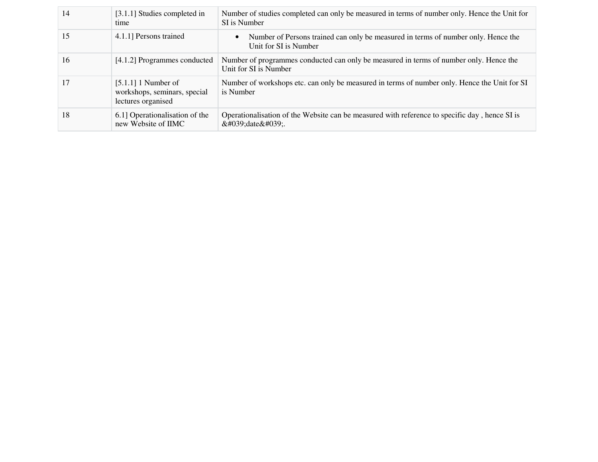| 14 | [3.1.1] Studies completed in<br>time                                        | Number of studies completed can only be measured in terms of number only. Hence the Unit for<br>SI is Number    |
|----|-----------------------------------------------------------------------------|-----------------------------------------------------------------------------------------------------------------|
| 15 | 4.1.1] Persons trained                                                      | Number of Persons trained can only be measured in terms of number only. Hence the<br>Unit for SI is Number      |
| 16 | [4.1.2] Programmes conducted                                                | Number of programmes conducted can only be measured in terms of number only. Hence the<br>Unit for SI is Number |
| 17 | $[5.1.1]$ 1 Number of<br>workshops, seminars, special<br>lectures organised | Number of workshops etc. can only be measured in terms of number only. Hence the Unit for SI<br>is Number       |
| 18 | 6.1] Operationalisation of the<br>new Website of IIMC                       | Operationalisation of the Website can be measured with reference to specific day, hence SI is<br>'date'         |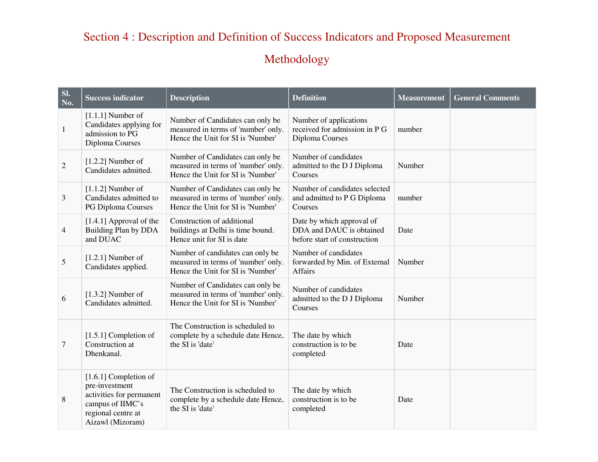# Section 4 : Description and Definition of Success Indicators and Proposed Measurement

# Methodology

| SI.<br>No. | <b>Success indicator</b>                                                                                                            | <b>Description</b>                                                                                           | <b>Definition</b>                                                                     | <b>Measurement</b> | <b>General Comments</b> |
|------------|-------------------------------------------------------------------------------------------------------------------------------------|--------------------------------------------------------------------------------------------------------------|---------------------------------------------------------------------------------------|--------------------|-------------------------|
| 1          | $[1.1.1]$ Number of<br>Candidates applying for<br>admission to PG<br>Diploma Courses                                                | Number of Candidates can only be<br>measured in terms of 'number' only.<br>Hence the Unit for SI is 'Number' | Number of applications<br>received for admission in P G<br>Diploma Courses            | number             |                         |
| 2          | $[1.2.2]$ Number of<br>Candidates admitted.                                                                                         | Number of Candidates can only be<br>measured in terms of 'number' only.<br>Hence the Unit for SI is 'Number' | Number of candidates<br>admitted to the D J Diploma<br>Courses                        | Number             |                         |
| 3          | $[1.1.2]$ Number of<br>Candidates admitted to<br>PG Diploma Courses                                                                 | Number of Candidates can only be<br>measured in terms of 'number' only.<br>Hence the Unit for SI is 'Number' | Number of candidates selected<br>and admitted to P G Diploma<br>Courses               | number             |                         |
| 4          | [1.4.1] Approval of the<br>Building Plan by DDA<br>and DUAC                                                                         | Construction of additional<br>buildings at Delhi is time bound.<br>Hence unit for SI is date                 | Date by which approval of<br>DDA and DAUC is obtained<br>before start of construction | Date               |                         |
| 5          | $[1.2.1]$ Number of<br>Candidates applied.                                                                                          | Number of candidates can only be<br>measured in terms of 'number' only.<br>Hence the Unit for SI is 'Number' | Number of candidates<br>forwarded by Min. of External<br>Affairs                      | Number             |                         |
| 6          | $[1.3.2]$ Number of<br>Candidates admitted.                                                                                         | Number of Candidates can only be<br>measured in terms of 'number' only.<br>Hence the Unit for SI is 'Number' | Number of candidates<br>admitted to the D J Diploma<br>Courses                        | Number             |                         |
| 7          | $[1.5.1]$ Completion of<br>Construction at<br>Dhenkanal.                                                                            | The Construction is scheduled to<br>complete by a schedule date Hence,<br>the SI is 'date'                   | The date by which<br>construction is to be<br>completed                               | Date               |                         |
| 8          | $[1.6.1]$ Completion of<br>pre-investment<br>activities for permanent<br>campus of IIMC's<br>regional centre at<br>Aizawl (Mizoram) | The Construction is scheduled to<br>complete by a schedule date Hence,<br>the SI is 'date'                   | The date by which<br>construction is to be<br>completed                               | Date               |                         |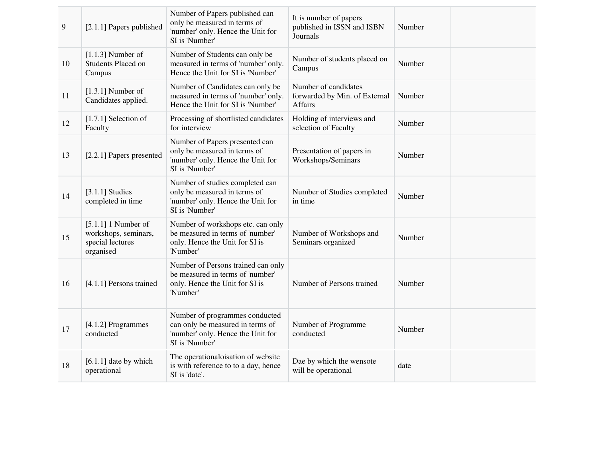| $\overline{9}$ | [2.1.1] Papers published                                                       | Number of Papers published can<br>only be measured in terms of<br>'number' only. Hence the Unit for<br>SI is 'Number'     | It is number of papers<br>published in ISSN and ISBN<br>Journals | Number |
|----------------|--------------------------------------------------------------------------------|---------------------------------------------------------------------------------------------------------------------------|------------------------------------------------------------------|--------|
| 10             | $[1.1.3]$ Number of<br>Students Placed on<br>Campus                            | Number of Students can only be<br>measured in terms of 'number' only.<br>Hence the Unit for SI is 'Number'                | Number of students placed on<br>Campus                           | Number |
| 11             | $[1.3.1]$ Number of<br>Candidates applied.                                     | Number of Candidates can only be<br>measured in terms of 'number' only.<br>Hence the Unit for SI is 'Number'              | Number of candidates<br>forwarded by Min. of External<br>Affairs | Number |
| 12             | $[1.7.1]$ Selection of<br>Faculty                                              | Processing of shortlisted candidates<br>for interview                                                                     | Holding of interviews and<br>selection of Faculty                | Number |
| 13             | [2.2.1] Papers presented                                                       | Number of Papers presented can<br>only be measured in terms of<br>'number' only. Hence the Unit for<br>SI is 'Number'     | Presentation of papers in<br>Workshops/Seminars                  | Number |
| 14             | $[3.1.1]$ Studies<br>completed in time                                         | Number of studies completed can<br>only be measured in terms of<br>'number' only. Hence the Unit for<br>SI is 'Number'    | Number of Studies completed<br>in time                           | Number |
| 15             | $[5.1.1]$ 1 Number of<br>workshops, seminars,<br>special lectures<br>organised | Number of workshops etc. can only<br>be measured in terms of 'number'<br>only. Hence the Unit for SI is<br>'Number'       | Number of Workshops and<br>Seminars organized                    | Number |
| 16             | [4.1.1] Persons trained                                                        | Number of Persons trained can only<br>be measured in terms of 'number'<br>only. Hence the Unit for SI is<br>'Number'      | Number of Persons trained                                        | Number |
| 17             | [4.1.2] Programmes<br>conducted                                                | Number of programmes conducted<br>can only be measured in terms of<br>'number' only. Hence the Unit for<br>SI is 'Number' | Number of Programme<br>conducted                                 | Number |
| 18             | $[6.1.1]$ date by which<br>operational                                         | The operationaloisation of website<br>is with reference to to a day, hence<br>SI is 'date'.                               | Dae by which the wensote<br>will be operational                  | date   |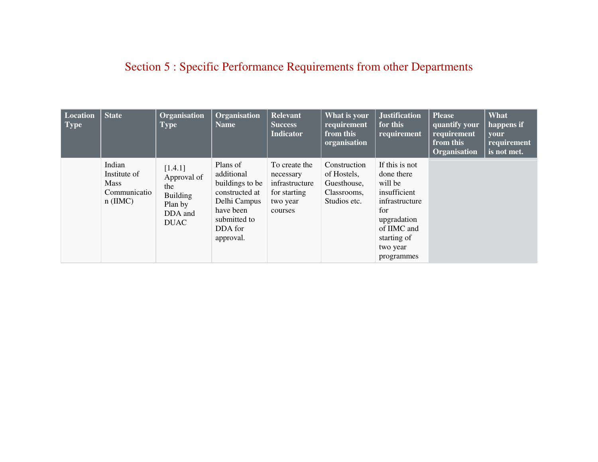# Section 5 : Specific Performance Requirements from other Departments

| Location<br><b>Type</b> | <b>State</b>                                                        | Organisation<br><b>Type</b>                                                           | Organisation<br><b>Name</b>                                                                                                      | <b>Relevant</b><br><b>Success</b><br><b>Indicator</b>                               | What is your<br>requirement<br>from this<br>organisation                  | <b>Justification</b><br>for this<br>requirement                                                                                                         | <b>Please</b><br>quantify your<br>requirement<br>from this<br>Organisation | What<br>happens if<br><b>your</b><br>requirement<br>is not met. |
|-------------------------|---------------------------------------------------------------------|---------------------------------------------------------------------------------------|----------------------------------------------------------------------------------------------------------------------------------|-------------------------------------------------------------------------------------|---------------------------------------------------------------------------|---------------------------------------------------------------------------------------------------------------------------------------------------------|----------------------------------------------------------------------------|-----------------------------------------------------------------|
|                         | Indian<br>Institute of<br><b>Mass</b><br>Communicatio<br>$n$ (IIMC) | [1.4.1]<br>Approval of<br>the<br><b>Building</b><br>Plan by<br>DDA and<br><b>DUAC</b> | Plans of<br>additional<br>buildings to be<br>constructed at<br>Delhi Campus<br>have been<br>submitted to<br>DDA for<br>approval. | To create the<br>necessary<br>infrastructure<br>for starting<br>two year<br>courses | Construction<br>of Hostels,<br>Guesthouse,<br>Classrooms,<br>Studios etc. | If this is not<br>done there<br>will be<br>insufficient<br>infrastructure<br>for<br>upgradation<br>of IIMC and<br>starting of<br>two year<br>programmes |                                                                            |                                                                 |